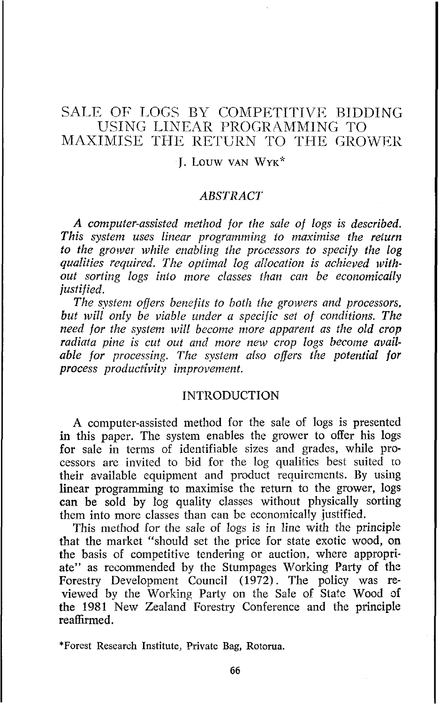# SALE OF LOGS BY COMPETITIVE BIDDING USING LINEAR PROGRAMMING TO MAXIMISE THE RETURN TO THE GROWER

### 1. LOUW VAN **WYK"**

### **ABSTRACT**

*A computer-assisted method for the sale of logs is described. This system uses linear programming to maximise the return*  to the grower while enabling the processors to specify the log *qualities required. The optimal log alIocation is achieved tvithout sorting logs inlo more classes than can be economically justified.* 

*The system offers benefits to both the growers and processors. but will only be viable under a specijic sef of conditions. The need for the system will become more apparent as the old crop*  radiata pine is cut out and more new crop logs become available for processing. The system also offers the potential for *process productivity improvement.* 

#### INTRODUCTION

A computer-assisted method for the sale of logs is presented in this paper. The system enables the grower to offer his logs for sale in terms of identifiable sizes and grades, while processors are invited to bid for the log qualities best suited to their available equipment and product requirements. By using linear programming to maximise the return to the grower, logs can be sold by log quality classes without physically sorting them into more classes than can be economically justified.

This method for the sale of logs is in line with the principle that the market "should set the price for state exotic wood, on the basis of competitive tendering or auction. where appropriate" as recommended by the Stumpages Working Party of thz Forestry Development Council (1972). The policy was reviewed by the Working Party on the Sale of State Wood of the 1981 New Zealand Forestry Conference and the principle reaffirmed.

\*Forest Research Institute, Private Bag, Rotorua.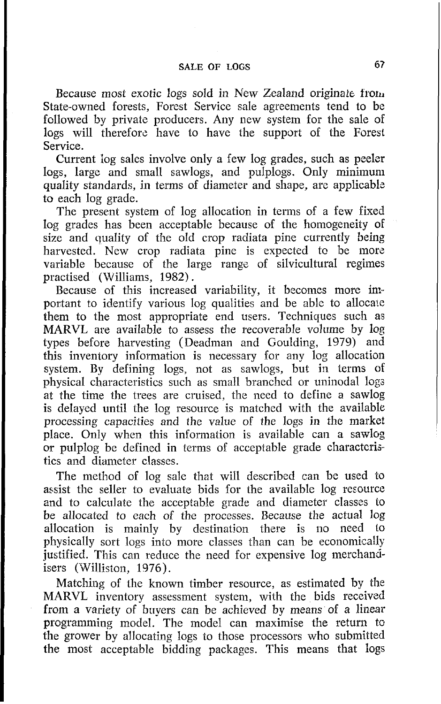## **SALE OF LOGS 67**

Because most exotic logs sold in New Zealand originate from State-owned forests, Forest Service sale agreements tend to be followed by private producers. Any new system for the sale of logs will therefore have to have the support of the Forest Service.

Current Iog sales involve only a few log grades, such as peeler logs, large and small sawlogs, and pulplogs. Only minimum quality standards, in terms of diameter and shape, are applicable to each log grade.

The present system of log allocation in terms of a few fixed log grades has been acceptable because of the homogeneity of size and quality of the old crop radiata pine currently being harvested. New crop radiata pine is expected to be more variable because of the large range of silvicultural regimes practised (Williams, 1982).

Because of this increased variability, it becomes more important to identify various log qualities and be able to allocaie them to the most appropriate end users. Techniques such as MARVL are available to assess the recoverable volume by log types before harvesting (Deadman and Goulding, 1979) and this inventory information is necessary for any log allocation system. By defining logs, not as sawlogs, but in terms of physical characteristics such as small branched or uninodal logs at the time the trees are cruised, the need to define a sawlog is delayed until the log resource is matched with the available processing capacities and the value of the logs in the market place. Only when this information is available can a sawlog or pulplog be defined in terms of acceptable grade characteris tics and diameter classes.

The method of log sale that will described can be used to assist the seller to evaluate bids for the available log resource and to calculate the acceptable grade and diameter classes to be allocated to each of the processes. Because the actual log allocation is mainly by destination there is no need to physically sort logs into more classes than can be economically justified. This can reduce the need for expensive log merchandisers (Willision, 1976).

Matching of the known timber resource, as estimated by the MARVL inventory assessment system, with the bids received from a variety of buyers can be achieved by means of a linear programming model. The model can maximise the return to the grower by allocating logs to those processors who submitted the most acceptable bidding packages. This means that logs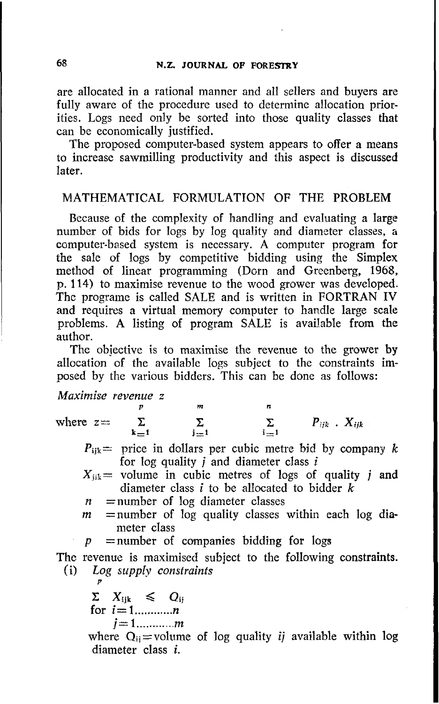are allocated in a rational manner and all sellers and buyers are fully aware of the procedure used to determine allocation priorities. Logs need only be sorted into those quality classes that can be economically justified.

The proposed computer-based system appears to offer a means to increase sawmilling productivity and this aspect is discussed later.

## MATHEMATICAL FORMULATION OF THE PROBLEM

Because of the complexity of handling and evaluating a large number of bids for logs by log quality and diameter classes, a computer-based system is necessary. A computer program for the sale of logs by competitive bidding using the Simplex method of linear programming (Dorn and Greenberg, 1968, p. 114) to maximise revenue to the wood grower was developed. The programe is called SALE and is written in FORTRAN IV and requires a virtual memory computer to handle large scale problems. A listing of program SALE is available from the author.

The obiective is to maximise the revenue to the grower by allocation of the available logs subject to the constraints imposed by the various bidders. This can be done as follows:

## *Maximise revenue* z

*P m* **n**   $\sum_{j=1}$ 

where  $z = \sum_{k=1}^{\infty} \sum_{j=1}^{\infty} \sum_{i=1}^{\infty} P_{ijk}$ .  $X_{ijk}$ 

- $P_{ijk}$  price in dollars per cubic metre bid by company k for log quality j and diameter class **<sup>i</sup>**
- $X_{ijk}$  volume in cubic metres of logs of quality j and diameter class *i* to be allocated to bidder k
- $n$  = number of log diameter classes
- $m$  =number of log quality classes within each log diameter class
- *p* =number of companies bidding for logs

The revenue is maximised subject to the following constraints. **(i)** *Log supply constraints* 

$$
\sum_{i=1,...,n} X_{ijk} \leq Q_{ij}
$$
  
for  $i=1,...,n$   
 $i=1,...,m$ 

*P* 

where  $Q_{ii}$ =volume of log quality *ij* available within log diameter class i.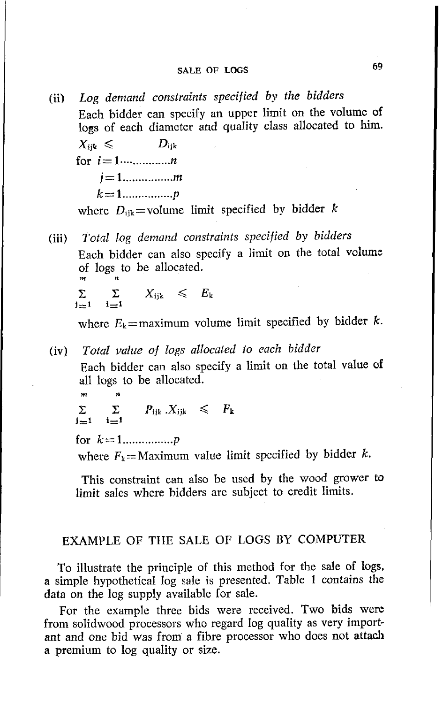(ii) *Log demand constraints specified by the bidders*  Each bidder can specify an upper limit on the volume of logs of each diameter and quality class allocated to him.

 $X_{ijk} \leqslant D_{ijk}$ for **i= 1.-** ............ **<sup>n</sup> j= <sup>1</sup>**................ **rn k= 1** ................ *<sup>P</sup>*

where  $D_{ijk}$ =volume limit specified by bidder k

(iii) *Total log demand constraints specified by bidders*  Each bidder can also specify a limit on the total volume of logs to be allocated.  $\sum$   $\sum$   $X_{ijk} \leqslant E_k$ 

$$
j=1 \qquad i=1
$$

where  $E_k$ =maximum volume limit specified by bidder k.

(iv) *Total value of logs allocated* to *each bidder*  Each bidder can also specify a limit on the total value of all logs to be allocated.

**rn n**   $\Sigma$   $\Sigma$   $P_{iik}$   $X_{iik} \leqslant P_k$ 

**j=i i=i** 

for *k=* **1** ................ *<sup>P</sup>*

where  $F_k =$  Maximum value limit specified by bidder k.

This constraint can also be used by the wood grower to limit sales where bidders are subject to credit limits.

## EXAMPLE OF THE SALE OF LOGS BY COMPUTER

To illustrate the principle of this method for the sale of logs, a simple hypothetical Iog sale is presented. Table 1 contains the data on the log supply available for sale.

For the example three bids were received. Two bids wcre from solidwood processors who regard log quality as very important and one bid was from a fibre processor who does not attach a premium to log quality or size.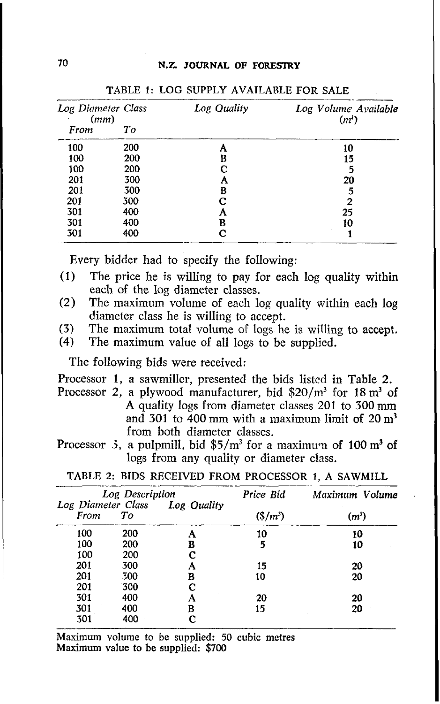| Log Diameter Class<br>(mm) |     | Log Quality | Log Volume Available<br>$(n^{\prime})$ |  |
|----------------------------|-----|-------------|----------------------------------------|--|
| From                       | To  |             |                                        |  |
| 100                        | 200 |             | 10                                     |  |
| 100                        | 200 | B           | 15                                     |  |
| 100                        | 200 | C           | 5                                      |  |
| 201                        | 300 | А           | 20                                     |  |
| 201                        | 300 | в           |                                        |  |
| 201                        | 300 | C           | 2                                      |  |
| 301                        | 400 | Α           | 25                                     |  |
| 301                        | 400 | В           | 10                                     |  |
| 301                        | 400 | с           |                                        |  |

TABLE 1: LOG SUPPLY AVAILARLE FOR SALE

Every bidder had to specify the following:

- **(1)** The price he is willing to pay for each log quality within each of the log diameter classes.
- (2) The maximum volume of each log quality within each log diameter class he is willing to accept.
- (3) The maximum total volume of logs he is willing to accept.<br>(4) The maximum value of all logs to be supplied.
- The maximum value of all logs to be supplied.

The following bids were received:

- Processor 1, a sawmiller, presented the bids listed in Table 2.
- Processor 2, a plywood manufacturer, bid  $$20/m<sup>3</sup>$  for 18 m<sup>3</sup> of A quality logs from diameter classes 201 to 300 mm and 301 to 400 mm with a maximum limit of 20 **m'**  from both diameter classes.
- Processor *3*, a pulpmill, bid \$5/m<sup>3</sup> for a maximum of 100 m<sup>3</sup> of logs from any quality or diameter class.

| Log Description            |     |             | Price Bid | Maximum Volume |  |
|----------------------------|-----|-------------|-----------|----------------|--|
| Log Diameter Class<br>From | Tо  | Log Quality | $$/m^3$$  | $(m^{3})$      |  |
| 100                        | 200 |             | 10        | 10             |  |
| 100                        | 200 | B           | 5         | 10             |  |
| 100                        | 200 | C           |           |                |  |
| 201                        | 300 | А           | 15        | 20             |  |
| 201                        | 300 | B           | 10        | 20             |  |
| 201                        | 300 | С           |           |                |  |
| 301                        | 400 | А           | 20        | 20             |  |
| 301                        | 400 | в           | 15        | 20             |  |
| 301                        | 400 | C           |           |                |  |

TABLE 2: RIDS RECEIVED FROM PROCESSOR 1, A SAWMILL

Maximum volume to be supplied: **50** cubic metres Maximum value to be supplied: **\$700**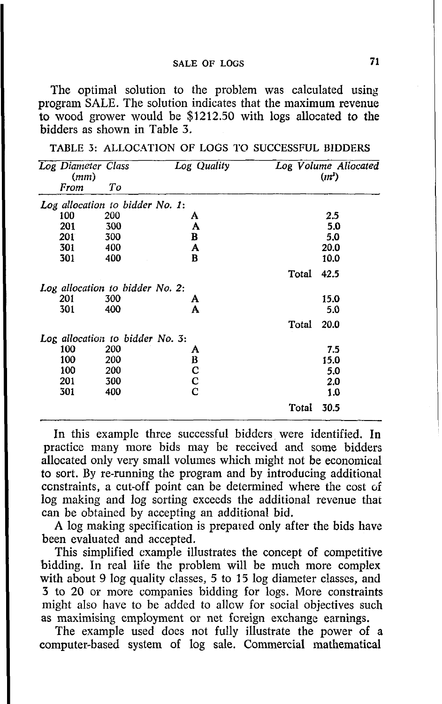The optimal solution to the problem was calculated using program SALE. The solution indicates that the maximum revenue to wood grower would be **\$1212.50** with logs allocated to the bidders as shown in Table **3.** 

| TABLE 3: ALLOCATION OF LOGS TO SUCCESSFUL BIDDERS |  |  |  |  |
|---------------------------------------------------|--|--|--|--|
|---------------------------------------------------|--|--|--|--|

| Log Diameter Class<br>(mm)      |     | Log Quality |       | Log Volume Allocated<br>(m <sup>3</sup> ) |
|---------------------------------|-----|-------------|-------|-------------------------------------------|
| From                            | Tо  |             |       |                                           |
| Log allocation to bidder No. 1: |     |             |       |                                           |
| 100                             | 200 | A           |       | 2.5                                       |
| 201                             | 300 | A           |       | 5.0                                       |
| 201                             | 300 | B           |       | 5.0                                       |
| 301                             | 400 | A           |       | 20.0                                      |
| 301                             | 400 | в           |       | 10.0                                      |
|                                 |     |             | Total | 42.5                                      |
| Log allocation to bidder No. 2: |     |             |       |                                           |
| 201                             | 300 | A           |       | 15.0                                      |
| 301                             | 400 | A           |       | 5.0                                       |
|                                 |     |             | Total | 20.0                                      |
| Log allocation to bidder No. 3: |     |             |       |                                           |
| 100                             | 200 | A           |       | 75                                        |
| 100                             | 200 |             |       | 15.0                                      |
| 100                             | 200 | B<br>C<br>C |       | 5.0                                       |
| 201                             | 300 |             |       | 2.0                                       |
| 301                             | 400 | C           |       | 1.0                                       |
|                                 |     |             | Total | 30.5                                      |

In this example three successful bidders were identified. In practice many more bids may be received and some bidders allocated only very small volumes which might not be economical to sort. By re-running the program and by introducing additional constraints, a cut-off point can be determined where the cost of log making and log sorting exceeds the additional revenue that can be obtained by accepting an additional bid.

**A** log making specification is prepared only after the bids have been evaluated and accepted.

This simplified example illustrates the concept of competitive bidding. In real life the problem will be much more complex with about 9 log quality classes, 5 to 15 log diameter classes, and **3** to **20** or more companies bidding for logs. More constraints might also have to be added to allow for social objectives such as maximising employment or net foreign exchange earnings.

The example used does not fully illustrate the power of a computer-based system of log sale. Commercial mathematical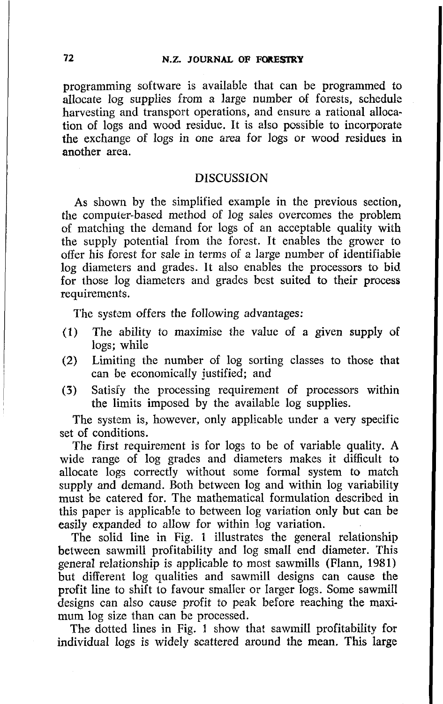programming software is available that can be programmed to allocate log supplies from a large number of forests, schedule harvesting and transport operations, and ensure a rational allocation of logs and wood residue. It is also possible to incorporate the exchange of logs in one area for logs or wood residues in another area.

#### **DISCUSSION**

As shown by the simplified example in the previous section, the computer-based method of log sales overcomes the problem of matching the demand for logs of an acceptable quality with the supply potential from the forest. It enables the grower to offer his forest for sale in terms of a large number of identifiabie log diameters and grades. It also enables the processors to bid for those log diameters and grades best suited to their process requirements.

The system offers the following advantages:

- **(1)** The ability to maximise the value of a given supply **OF**  logs; while
- (2) Limiting the number of log sorting classes to those that can be economically justified; and
- (3) Satisfy the processing requirement of processors within the limits imposed by the available log supplies.

The system is, however, only applicable under a very specific set of conditions.

The first requirement is for logs to be of variable quality. **A**  wide range of log grades and diameters makes it difficult to allocate logs correctly without some formal system to match supply and demand. Both between log and within log variability must be catered for. The mathematical formulation described in this paper is applicable to between log variation only but can be easily expanded to allow for within log variation.

The solid line in Fig. 1 illustrates the general relationship between sawmill profitability and log small end diameter. This general relationship is applicable to most sawmills (Flann, 1981) but different log qualities and sawmill designs can cause the profit line to shift to favour smaller or larger logs. Some sawmill designs can also cause profit to peak before reaching the maximum log size than can be processed.

The dotted lines in Fig. 1 show that sawmill profitability for individual logs is widely scattered around the mean. This large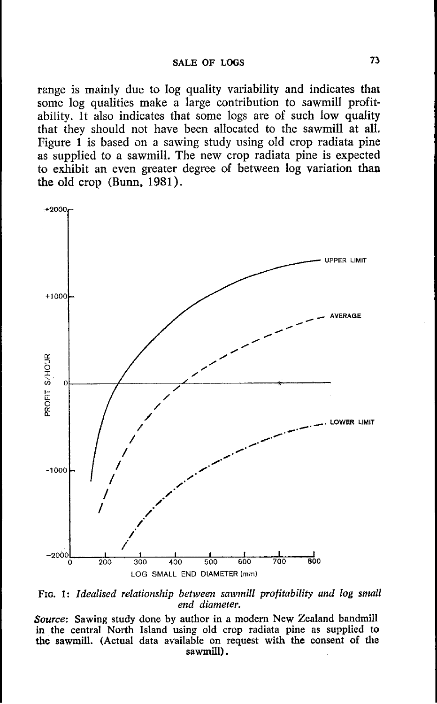range is mainly due to log quality variability and indicates that some log qualities make a large contribution to sawmill profitability. It also indicates that some logs are of such low quality that they should not have been allocated to the sawmill at all. Figure 1 is based on a sawing study using old crop radiata pine as supplied to a sawmill. The new crop radiata pine is expected to exhibit an even greater degree of between log variation than the old crop (Bum, **1981).** 



FIG. 1: Idealised relationship between sawmill profitability and log small *end diameter.* 

*Source:* **Sawing study done by author in a modern New Zealand bandmill in the central North Island using old crop radiata pine as supplied to the sawmill. (Actual data available on request with the consent of the sawmill).**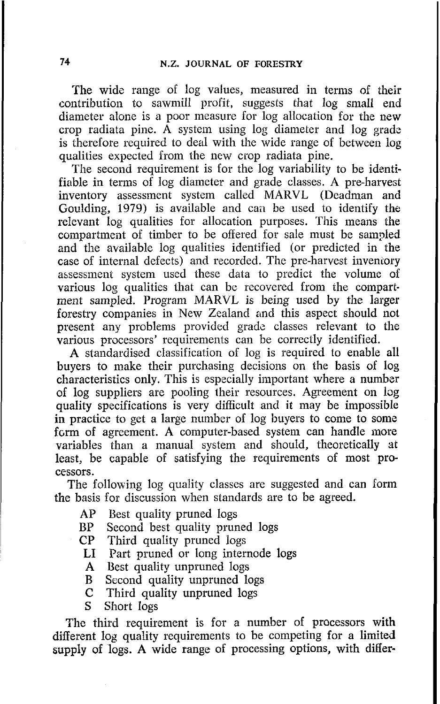The wide range of log values, measured in terms of their contribution to sawmill profit, suggests that log small end diameter alone is a poor measure for log allocation for the new crop radiata pine. A system using  $log$  diameter and  $log$  grade is therefore required to deal with the wide range of between log qualities expected from the new crop radiata pine.

The second requirement is for the log variability to be identifiable in terms of log diameter and grade classes. A pre-harvest inventory assessment system called MARVL (Deadman and Goulding, 1979) is available and can be used to identify the relevant log qualities for allocation purposes. This means the compartment of timber to be offered for sale must be sampled and the available log qualities identified (or predicted in the case of internal defects) and recorded. The pre-harvest inventory assessment system used these data to predict the volume of various log qualities that can be recovered from the compartment sampled. Program M4RVL is being used by the larger forestry companies in New Zealand and this aspect should not present any problems provided grade classes relevant to the various processors' requirements can be correctly identified.

A standardised classification of log is required to enable all buyers to make their purchasing decisions on the basis of log characteristics only. This is especially important where a number of log suppliers are pooling their resources. Agreement on log quality specifications is very difficult and it may be impossible in practice to get a large number of log buyers to come to some form of agreement. A computer-based system can handle more variables than a manual system and should, theoretically at least, be capable of satisfying the requirements of most processors.

The following log quality classes are suggested and can form the basis for discussion when standards are to be agreed.

- AP Best quality pruned logs
- BP Second best quality pruned logs<br>CP Third quality pruned logs
- Third quality pruned logs
- LI Part pruned or long internode logs
- A Best quality unpruned logs
- B Second quality unpruned logs<br>C Third quality unpruned logs
- Third quality unpruned logs
- *S* Short logs

The third requirement is for a number of processors with different log quality requirements to be competing for a limited supply of logs. **A** wide range of processing options, with difier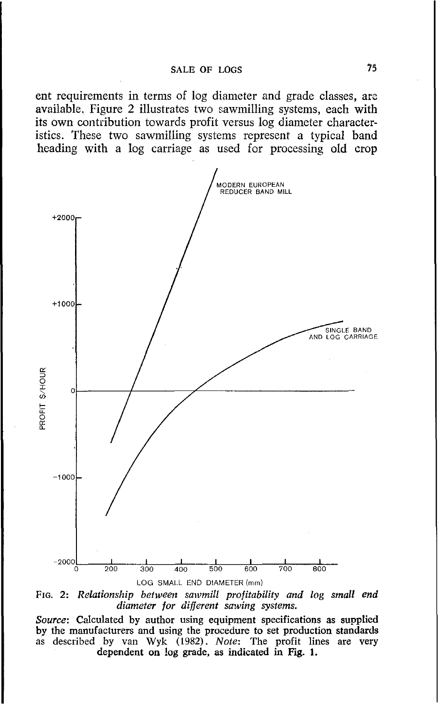ent requirements in terms of log diameter and grade classes, are available. Figure *2* illustrates two sawmilling systems, each, with its own contribution towards profit versus log diameter characteristics. These two sawmilling systems represent a typical band heading with a log carriage as used for processing old crop



*FIG. 2: Relationship between sawmill profitability and log small end diameter for diflerent sawing systems.* 

*Source:* Calculated *by* author using equipment specifications as supplied by the manufacturers and using the procedure to set production standards as described by van Wyk (1982). *Note*: The profit lines are very dependent on log grade, as indicated in Fig. 1.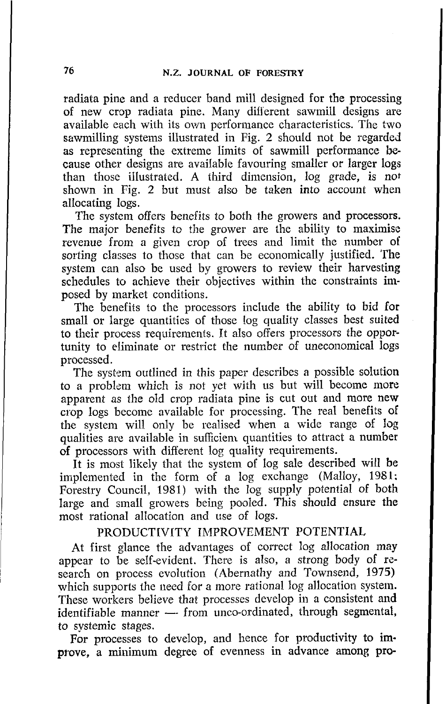radiata pine and a reducer band mill designed for the processing of new crop radiata pine. Many diflerent sawmill designs are available each with its own performance characteristics. The two sawmilling systems illustrated in Fig. 2 should not be regarded as representing the extreme limits of sawmill performance because other designs are available favouring smaller or larger logs than those illustrated. A third dimension, log grade, is not shown in Fig. 2 but must also be taken into account when allocating logs.

The system offers benefits to both the growers and processors. The major benefits to the grower are the ability to maximise revenue from a given crop of trees and limit the number of sorting classes to those that can be economically justified. The system can also be used by growers to review their harvesting schedules to achieve their objectives within the constraints imposed by market conditions.

The benefits to the processors include the ability to bid for small or large quantities of those log quality classes best suited to their process requirements. It also offers processors the opportunity to eliminate or restrict the number of uneconomical logs processed.

The system outlined in this paper describes a possible solution to a problem which is not yet with us but will become more apparent as the old crop radiata pine is cut out and more new crop logs become available for processing. The real benefits of the system will only be realised when a wide range of log qualities are available in sufficiem quantities to attract a number of processors with different log quality requirements.

It is mast likely that the system of log sale described will be implemented in the form of a log exchange (Malloy, 1981: Forestry Council, 1981) with the log supply potential of both large and small growers being pooled. This should ensure the most rational allocation and use of logs.

#### PRODUCTIVITY IMPROVEMENT POTENTIAL

At first glance the advantages of correct log allocation may appear to be self-evident. There is also, a strong body of research on process evolution (Abernathy and Townsend, 1975) which supports the need for a more rational log allocation system. These workers believe that processes develop in a consistent and identifiable manner - from unco-ordinated, through segmental, to systemic stages.

For processes to develop, and hence for productivity to improve, a minimum degree of evenness in advance among pro